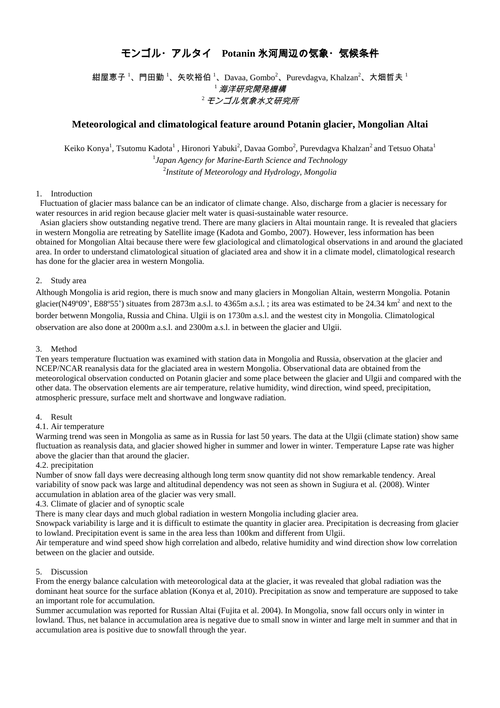# モンゴル・アルタイ **Potanin** 氷河周辺の気象・気候条件

紺屋恵子<sup>1</sup>、門田勤<sup>1</sup>、矢吹裕伯<sup>1</sup>、Davaa, Gombo<sup>2</sup>、Purevdagva, Khalzan<sup>2</sup>、大畑哲夫<sup>1</sup>  $^{\mathrm{1}}$  海洋研究開発機構 2 モンゴル気象水文研究所

# **Meteorological and climatological feature around Potanin glacier, Mongolian Altai**

Keiko Konya<sup>1</sup>, Tsutomu Kadota<sup>1</sup> , Hironori Yabuki<sup>2</sup>, Davaa Gombo<sup>2</sup>, Purevdagva Khalzan<sup>2</sup> and Tetsuo Ohata<sup>1</sup> 1 *Japan Agency for Marine-Earth Science and Technology* 2 *Institute of Meteorology and Hydrology, Mongolia*

## 1. Introduction

Fluctuation of glacier mass balance can be an indicator of climate change. Also, discharge from a glacier is necessary for water resources in arid region because glacier melt water is quasi-sustainable water resource.

Asian glaciers show outstanding negative trend. There are many glaciers in Altai mountain range. It is revealed that glaciers in western Mongolia are retreating by Satellite image (Kadota and Gombo, 2007). However, less information has been obtained for Mongolian Altai because there were few glaciological and climatological observations in and around the glaciated area. In order to understand climatological situation of glaciated area and show it in a climate model, climatological research has done for the glacier area in western Mongolia.

## 2. Study area

Although Mongolia is arid region, there is much snow and many glaciers in Mongolian Altain, westerrn Mongolia. Potanin glacier(N49°09', E88°55') situates from 2873m a.s.l. to 4365m a.s.l.; its area was estimated to be 24.34  $km^2$  and next to the border betwenn Mongolia, Russia and China. Ulgii is on 1730m a.s.l. and the westest city in Mongolia. Climatological observation are also done at 2000m a.s.l. and 2300m a.s.l. in between the glacier and Ulgii.

#### 3. Method

Ten years temperature fluctuation was examined with station data in Mongolia and Russia, observation at the glacier and NCEP/NCAR reanalysis data for the glaciated area in western Mongolia. Observational data are obtained from the meteorological observation conducted on Potanin glacier and some place between the glacier and Ulgii and compared with the other data. The observation elements are air temperature, relative humidity, wind direction, wind speed, precipitation, atmospheric pressure, surface melt and shortwave and longwave radiation.

#### 4. Result

#### 4.1. Air temperature

Warming trend was seen in Mongolia as same as in Russia for last 50 years. The data at the Ulgii (climate station) show same fluctuation as reanalysis data, and glacier showed higher in summer and lower in winter. Temperature Lapse rate was higher above the glacier than that around the glacier.

#### 4.2. precipitation

Number of snow fall days were decreasing although long term snow quantity did not show remarkable tendency. Areal variability of snow pack was large and altitudinal dependency was not seen as shown in Sugiura et al. (2008). Winter accumulation in ablation area of the glacier was very small.

#### 4.3. Climate of glacier and of synoptic scale

There is many clear days and much global radiation in western Mongolia including glacier area.

Snowpack variability is large and it is difficult to estimate the quantity in glacier area. Precipitation is decreasing from glacier to lowland. Precipitation event is same in the area less than 100km and different from Ulgii.

Air temperature and wind speed show high correlation and albedo, relative humidity and wind direction show low correlation between on the glacier and outside.

#### 5. Discussion

From the energy balance calculation with meteorological data at the glacier, it was revealed that global radiation was the dominant heat source for the surface ablation (Konya et al, 2010). Precipitation as snow and temperature are supposed to take an important role for accumulation.

Summer accumulation was reported for Russian Altai (Fujita et al. 2004). In Mongolia, snow fall occurs only in winter in lowland. Thus, net balance in accumulation area is negative due to small snow in winter and large melt in summer and that in accumulation area is positive due to snowfall through the year.